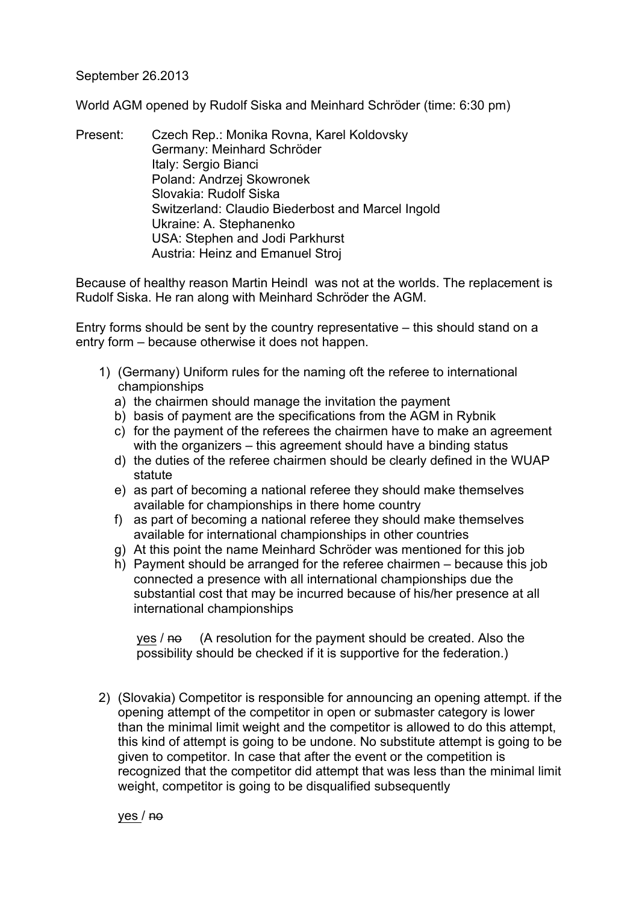## September 26.2013

World AGM opened by Rudolf Siska and Meinhard Schröder (time: 6:30 pm)

Present: Czech Rep.: Monika Rovna, Karel Koldovsky Germany: Meinhard Schröder Italy: Sergio Bianci Poland: Andrzej Skowronek Slovakia: Rudolf Siska Switzerland: Claudio Biederbost and Marcel Ingold Ukraine: A. Stephanenko USA: Stephen and Jodi Parkhurst Austria: Heinz and Emanuel Stroj

Because of healthy reason Martin Heindl was not at the worlds. The replacement is Rudolf Siska. He ran along with Meinhard Schröder the AGM.

Entry forms should be sent by the country representative – this should stand on a entry form – because otherwise it does not happen.

- 1) (Germany) Uniform rules for the naming oft the referee to international championships
	- a) the chairmen should manage the invitation the payment
	- b) basis of payment are the specifications from the AGM in Rybnik
	- c) for the payment of the referees the chairmen have to make an agreement with the organizers – this agreement should have a binding status
	- d) the duties of the referee chairmen should be clearly defined in the WUAP statute
	- e) as part of becoming a national referee they should make themselves available for championships in there home country
	- f) as part of becoming a national referee they should make themselves available for international championships in other countries
	- g) At this point the name Meinhard Schröder was mentioned for this job
	- h) Payment should be arranged for the referee chairmen because this job connected a presence with all international championships due the substantial cost that may be incurred because of his/her presence at all international championships

 $yes /  $\theta$$  (A resolution for the payment should be created. Also the possibility should be checked if it is supportive for the federation.)

2) (Slovakia) Competitor is responsible for announcing an opening attempt. if the opening attempt of the competitor in open or submaster category is lower than the minimal limit weight and the competitor is allowed to do this attempt, this kind of attempt is going to be undone. No substitute attempt is going to be given to competitor. In case that after the event or the competition is recognized that the competitor did attempt that was less than the minimal limit weight, competitor is going to be disqualified subsequently

yes / no